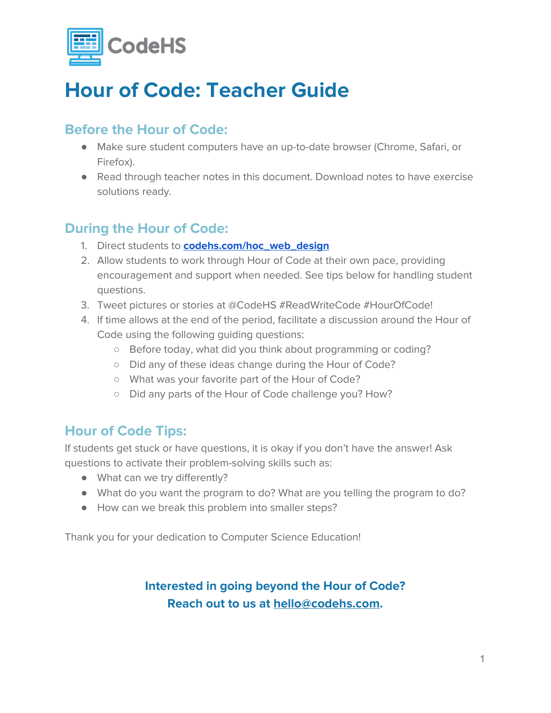

# **Hour of Code: Teacher Guide**

# **Before the Hour of Code:**

- Make sure student computers have an up-to-date browser (Chrome, Safari, or Firefox).
- Read through teacher notes in this document. Download notes to have exercise solutions ready.

# **During the Hour of Code:**

- 1. Direct students to **[codehs.com/hoc\\_web\\_design](http://codehs.com/hoc_web_design)**
- 2. Allow students to work through Hour of Code at their own pace, providing encouragement and support when needed. See tips below for handling student questions.
- 3. Tweet pictures or stories at @CodeHS #ReadWriteCode #HourOfCode!
- 4. If time allows at the end of the period, facilitate a discussion around the Hour of Code using the following guiding questions:
	- Before today, what did you think about programming or coding?
	- Did any of these ideas change during the Hour of Code?
	- What was your favorite part of the Hour of Code?
	- Did any parts of the Hour of Code challenge you? How?

## **Hour of Code Tips:**

If students get stuck or have questions, it is okay if you don't have the answer! Ask questions to activate their problem-solving skills such as:

- What can we try differently?
- What do you want the program to do? What are you telling the program to do?
- How can we break this problem into smaller steps?

Thank you for your dedication to Computer Science Education!

## **Interested in going beyond the Hour of Code? Reach out to us at [hello@codehs.com](mailto:hello@codehs.com).**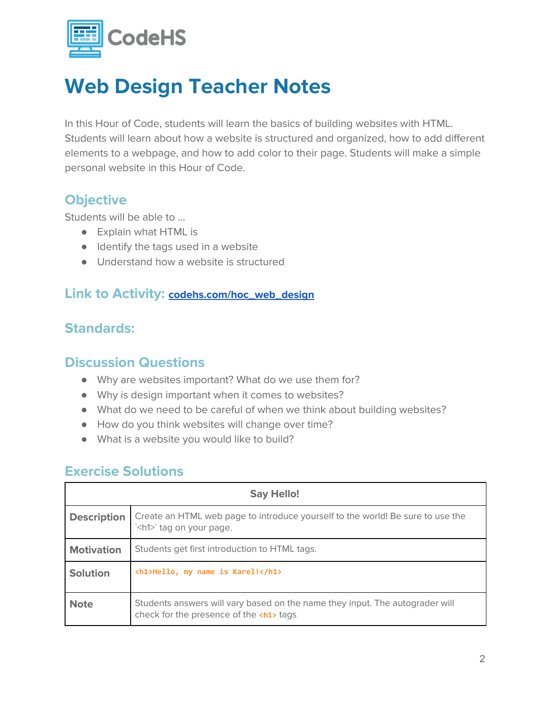

# **Web Design Teacher Notes**

In this Hour of Code, students will learn the basics of building websites with HTML. Students will learn about how a website is structured and organized, how to add different elements to a webpage, and how to add color to their page. Students will make a simple personal website in this Hour of Code.

## **Objective**

Students will be able to …

- Explain what HTML is
- Identify the tags used in a website
- Understand how a website is structured

#### **Link to Activity: [codehs.com/hoc\\_web\\_design](http://codehs.com/hoc_web_design)**

## **Standards:**

#### **Discussion Questions**

- Why are websites important? What do we use them for?
- Why is design important when it comes to websites?
- What do we need to be careful of when we think about building websites?
- How do you think websites will change over time?
- What is a website you would like to build?

#### **Exercise Solutions**

| <b>Say Hello!</b>  |                                                                                                                              |  |
|--------------------|------------------------------------------------------------------------------------------------------------------------------|--|
| <b>Description</b> | Create an HTML web page to introduce yourself to the world! Be sure to use the<br>` <h1>`tag on your page.</h1>              |  |
| <b>Motivation</b>  | Students get first introduction to HTML tags.                                                                                |  |
| <b>Solution</b>    | <h1>Hello, my name is Karel!</h1>                                                                                            |  |
| <b>Note</b>        | Students answers will vary based on the name they input. The autograder will<br>check for the presence of the <h1> tags</h1> |  |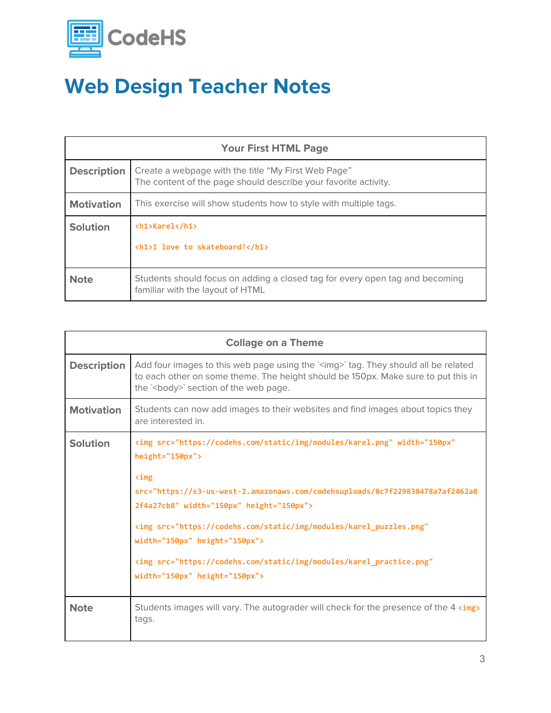

# **Web Design Teacher Notes**

| <b>Your First HTML Page</b> |                                                                                                                        |  |
|-----------------------------|------------------------------------------------------------------------------------------------------------------------|--|
| <b>Description</b>          | Create a webpage with the title "My First Web Page"<br>The content of the page should describe your favorite activity. |  |
| <b>Motivation</b>           | This exercise will show students how to style with multiple tags.                                                      |  |
| <b>Solution</b>             | <h1>Karel</h1>                                                                                                         |  |
|                             | <h1>I love to skateboard!</h1>                                                                                         |  |
| <b>Note</b>                 | Students should focus on adding a closed tag for every open tag and becoming<br>familiar with the layout of HTML       |  |

| <b>Collage on a Theme</b> |                                                                                                                                                                                                                                                                                                                                                                                                                                                                     |  |
|---------------------------|---------------------------------------------------------------------------------------------------------------------------------------------------------------------------------------------------------------------------------------------------------------------------------------------------------------------------------------------------------------------------------------------------------------------------------------------------------------------|--|
| <b>Description</b>        | Add four images to this web page using the `simg>`tag. They should all be related<br>to each other on some theme. The height should be 150px. Make sure to put this in<br>the '<br>body>' section of the web page.                                                                                                                                                                                                                                                  |  |
| <b>Motivation</b>         | Students can now add images to their websites and find images about topics they<br>are interested in                                                                                                                                                                                                                                                                                                                                                                |  |
| <b>Solution</b>           | <img <br="" src="https://codehs.com/static/img/modules/karel.png" width="150px"/> height="150px"><br>$\sin$<br>src="https://s3-us-west-2.amazonaws.com/codehsuploads/8c7f229838478a7af2462a8<br>2f4a27cb8" width="150px" height="150px"><br><img <br="" src="https://codehs.com/static/img/modules/karel_puzzles.png"/> width="150px" height="150px"><br><img <br="" src="https://codehs.com/static/img/modules/karel practice.png"/> width="150px" height="150px"> |  |
| <b>Note</b>               | Students images will vary. The autograder will check for the presence of the 4 <img/><br>tags.                                                                                                                                                                                                                                                                                                                                                                      |  |